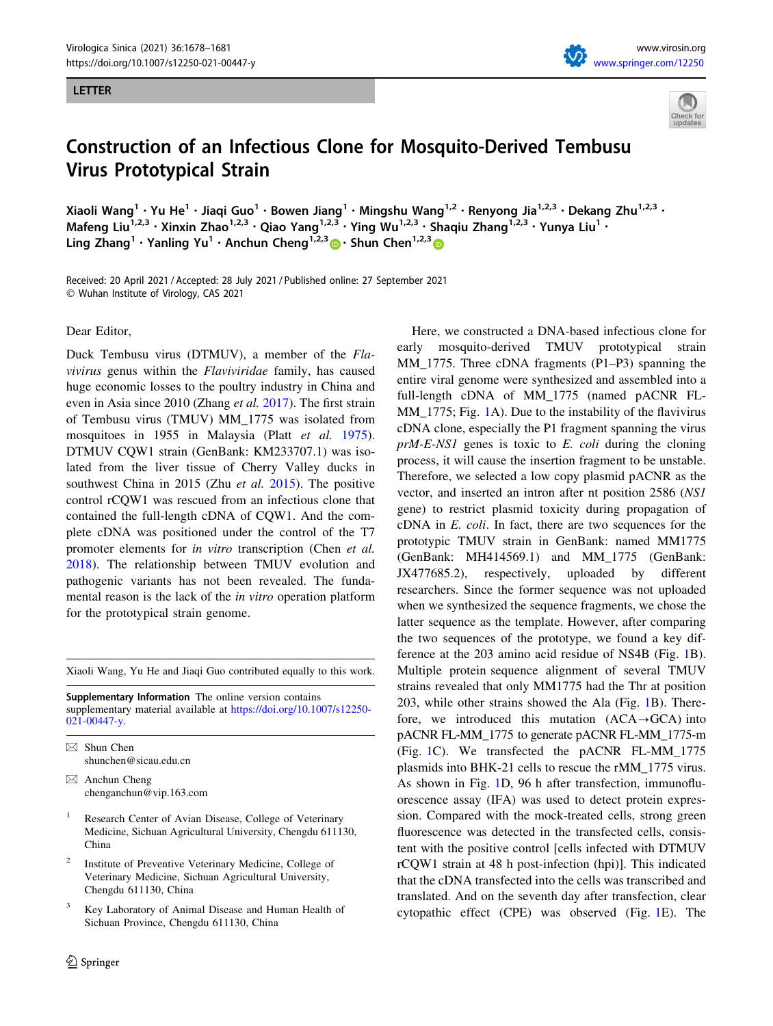### LETTER



# Construction of an Infectious Clone for Mosquito-Derived Tembusu Virus Prototypical Strain

Xiaoli Wang<sup>1</sup> • Yu He<sup>1</sup> • Jiaqi Guo<sup>1</sup> • Bowen Jiang<sup>1</sup> • Mingshu Wang<sup>1,2</sup> • Renyong Jia<sup>1,2,3</sup> • Dekang Zhu<sup>1,2,3</sup> • Mafeng Liu<sup>1,2,3</sup> • Xinxin Zhao<sup>1,2,3</sup> • Qiao Yang<sup>1,2,3</sup> • Ying Wu<sup>1,2,3</sup> • Shaqiu Zhang<sup>1,2,3</sup> • Yunya Liu<sup>1</sup> • Ling Zhang<sup>1</sup> • Yanling Yu<sup>1</sup> • Anchun Cheng<sup>1,2,3</sup>  $\bullet$  • Shun Chen<sup>1,2,3</sup>  $\bullet$ 

Received: 20 April 2021 / Accepted: 28 July 2021 / Published online: 27 September 2021 - Wuhan Institute of Virology, CAS 2021

Dear Editor,

Duck Tembusu virus (DTMUV), a member of the Flavivirus genus within the Flaviviridae family, has caused huge economic losses to the poultry industry in China and even in Asia since 2010 (Zhang et al. [2017\)](#page-3-0). The first strain of Tembusu virus (TMUV) MM\_1775 was isolated from mosquitoes in 1955 in Malaysia (Platt et al. [1975](#page-3-0)). DTMUV CQW1 strain (GenBank: KM233707.1) was isolated from the liver tissue of Cherry Valley ducks in southwest China in 2015 (Zhu et al. [2015\)](#page-3-0). The positive control rCQW1 was rescued from an infectious clone that contained the full-length cDNA of CQW1. And the complete cDNA was positioned under the control of the T7 promoter elements for *in vitro* transcription (Chen *et al.*) [2018\)](#page-3-0). The relationship between TMUV evolution and pathogenic variants has not been revealed. The fundamental reason is the lack of the in vitro operation platform for the prototypical strain genome.

Xiaoli Wang, Yu He and Jiaqi Guo contributed equally to this work.

Supplementary Information The online version contains supplementary material available at [https://doi.org/10.1007/s12250-](https://doi.org/10.1007/s12250-021-00447-y) [021-00447-y](https://doi.org/10.1007/s12250-021-00447-y).

 $\boxtimes$  Shun Chen shunchen@sicau.edu.cn

- Research Center of Avian Disease, College of Veterinary Medicine, Sichuan Agricultural University, Chengdu 611130, China
- Institute of Preventive Veterinary Medicine, College of Veterinary Medicine, Sichuan Agricultural University, Chengdu 611130, China
- Key Laboratory of Animal Disease and Human Health of Sichuan Province, Chengdu 611130, China

Here, we constructed a DNA-based infectious clone for early mosquito-derived TMUV prototypical strain MM\_1775. Three cDNA fragments (P1–P3) spanning the entire viral genome were synthesized and assembled into a full-length cDNA of MM\_1775 (named pACNR FL-MM [1](#page-2-0)775; Fig. 1A). Due to the instability of the flavivirus cDNA clone, especially the P1 fragment spanning the virus prM-E-NS1 genes is toxic to E. coli during the cloning process, it will cause the insertion fragment to be unstable. Therefore, we selected a low copy plasmid pACNR as the vector, and inserted an intron after nt position 2586 (NS1 gene) to restrict plasmid toxicity during propagation of cDNA in E. coli. In fact, there are two sequences for the prototypic TMUV strain in GenBank: named MM1775 (GenBank: MH414569.1) and MM\_1775 (GenBank: JX477685.2), respectively, uploaded by different researchers. Since the former sequence was not uploaded when we synthesized the sequence fragments, we chose the latter sequence as the template. However, after comparing the two sequences of the prototype, we found a key difference at the 203 amino acid residue of NS4B (Fig. [1B](#page-2-0)). Multiple protein sequence alignment of several TMUV strains revealed that only MM1775 had the Thr at position 203, while other strains showed the Ala (Fig. [1B](#page-2-0)). Therefore, we introduced this mutation  $(ACA \rightarrow GCA)$  into pACNR FL-MM\_1775 to generate pACNR FL-MM\_1775-m (Fig. [1C](#page-2-0)). We transfected the pACNR FL-MM\_1775 plasmids into BHK-21 cells to rescue the rMM\_1775 virus. As shown in Fig. [1](#page-2-0)D, 96 h after transfection, immunofluorescence assay (IFA) was used to detect protein expression. Compared with the mock-treated cells, strong green fluorescence was detected in the transfected cells, consistent with the positive control [cells infected with DTMUV rCQW1 strain at 48 h post-infection (hpi)]. This indicated that the cDNA transfected into the cells was transcribed and translated. And on the seventh day after transfection, clear cytopathic effect (CPE) was observed (Fig. [1E](#page-2-0)). The

 $\boxtimes$  Anchun Cheng chenganchun@vip.163.com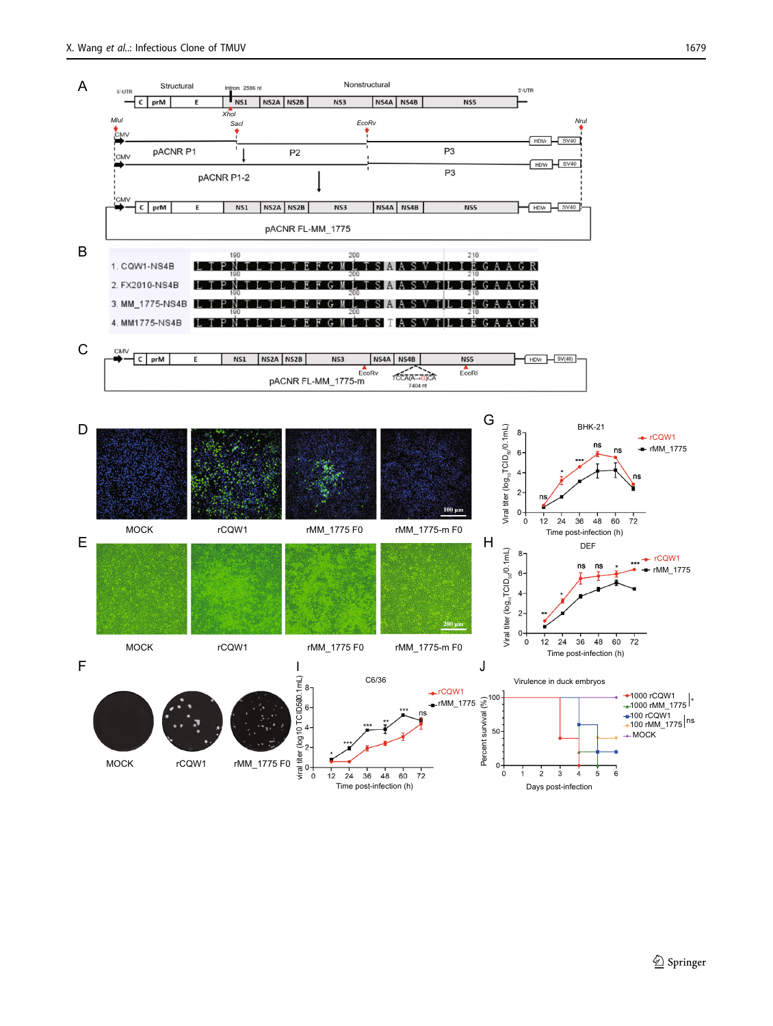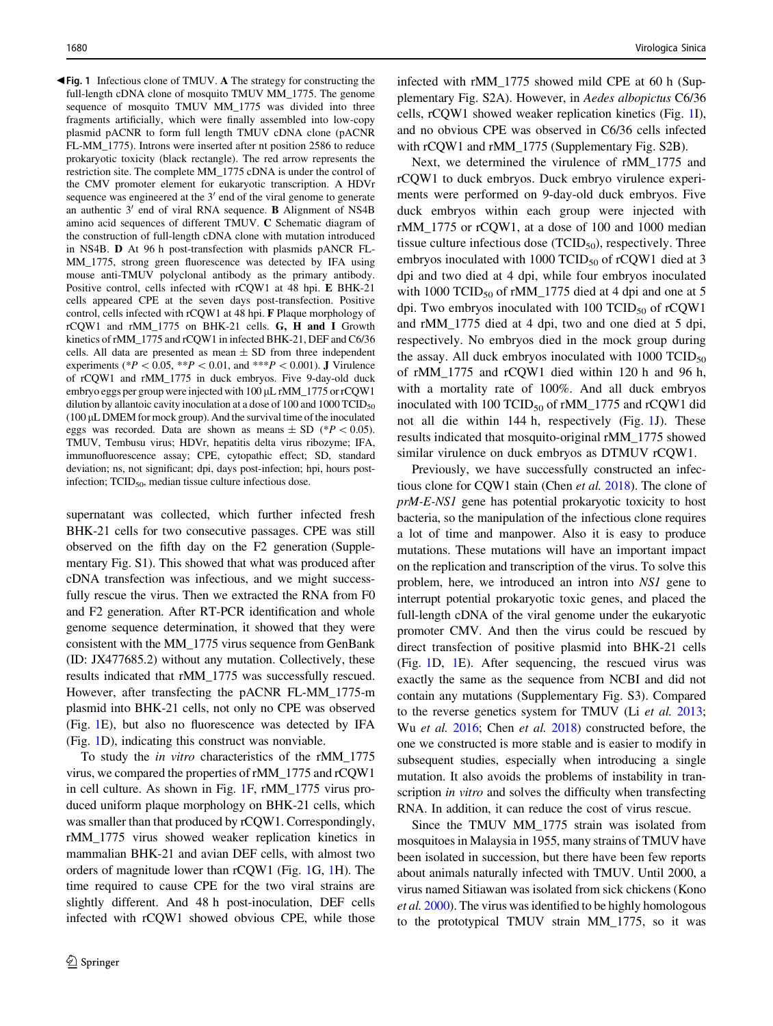<span id="page-2-0"></span> $\blacktriangleleft$  **Fig. 1** Infectious clone of TMUV. A The strategy for constructing the full-length cDNA clone of mosquito TMUV MM\_1775. The genome sequence of mosquito TMUV MM\_1775 was divided into three fragments artificially, which were finally assembled into low-copy plasmid pACNR to form full length TMUV cDNA clone (pACNR FL-MM\_1775). Introns were inserted after nt position 2586 to reduce prokaryotic toxicity (black rectangle). The red arrow represents the restriction site. The complete MM\_1775 cDNA is under the control of the CMV promoter element for eukaryotic transcription. A HDVr sequence was engineered at the  $3'$  end of the viral genome to generate an authentic  $3'$  end of viral RNA sequence. **B** Alignment of NS4B amino acid sequences of different TMUV. C Schematic diagram of the construction of full-length cDNA clone with mutation introduced in NS4B. D At 96 h post-transfection with plasmids pANCR FL-MM\_1775, strong green fluorescence was detected by IFA using mouse anti-TMUV polyclonal antibody as the primary antibody. Positive control, cells infected with rCQW1 at 48 hpi. E BHK-21 cells appeared CPE at the seven days post-transfection. Positive control, cells infected with rCQW1 at 48 hpi. F Plaque morphology of rCQW1 and rMM\_1775 on BHK-21 cells. G, H and I Growth kinetics of rMM\_1775 and rCQW1 in infected BHK-21, DEF and C6/36 cells. All data are presented as mean  $\pm$  SD from three independent experiments (\* $P \lt 0.05$ , \*\* $P \lt 0.01$ , and \*\*\* $P \lt 0.001$ ). J Virulence of rCQW1 and rMM\_1775 in duck embryos. Five 9-day-old duck embryo eggs per group were injected with 100 µL rMM\_1775 or rCQW1 dilution by allantoic cavity inoculation at a dose of 100 and 1000  $TCID_{50}$ (100 lL DMEM for mock group). And the survival time of the inoculated eggs was recorded. Data are shown as means  $\pm$  SD (\*P < 0.05). TMUV, Tembusu virus; HDVr, hepatitis delta virus ribozyme; IFA, immunofluorescence assay; CPE, cytopathic effect; SD, standard deviation; ns, not significant; dpi, days post-infection; hpi, hours postinfection; TCID<sub>50</sub>, median tissue culture infectious dose.

supernatant was collected, which further infected fresh BHK-21 cells for two consecutive passages. CPE was still observed on the fifth day on the F2 generation (Supplementary Fig. S1). This showed that what was produced after cDNA transfection was infectious, and we might successfully rescue the virus. Then we extracted the RNA from F0 and F2 generation. After RT-PCR identification and whole genome sequence determination, it showed that they were consistent with the MM\_1775 virus sequence from GenBank (ID: JX477685.2) without any mutation. Collectively, these results indicated that rMM\_1775 was successfully rescued. However, after transfecting the pACNR FL-MM\_1775-m plasmid into BHK-21 cells, not only no CPE was observed (Fig. 1E), but also no fluorescence was detected by IFA (Fig. 1D), indicating this construct was nonviable.

To study the in vitro characteristics of the rMM\_1775 virus, we compared the properties of rMM\_1775 and rCQW1 in cell culture. As shown in Fig. 1F, rMM\_1775 virus produced uniform plaque morphology on BHK-21 cells, which was smaller than that produced by rCQW1. Correspondingly, rMM\_1775 virus showed weaker replication kinetics in mammalian BHK-21 and avian DEF cells, with almost two orders of magnitude lower than rCQW1 (Fig. 1G, 1H). The time required to cause CPE for the two viral strains are slightly different. And 48 h post-inoculation, DEF cells infected with rCQW1 showed obvious CPE, while those

infected with rMM\_1775 showed mild CPE at 60 h (Supplementary Fig. S2A). However, in Aedes albopictus C6/36 cells, rCQW1 showed weaker replication kinetics (Fig. 1I), and no obvious CPE was observed in C6/36 cells infected with rCQW1 and rMM\_1775 (Supplementary Fig. S2B).

Next, we determined the virulence of rMM\_1775 and rCQW1 to duck embryos. Duck embryo virulence experiments were performed on 9-day-old duck embryos. Five duck embryos within each group were injected with rMM\_1775 or rCQW1, at a dose of 100 and 1000 median tissue culture infectious dose  $(TCID<sub>50</sub>)$ , respectively. Three embryos inoculated with 1000 TCID $_{50}$  of rCQW1 died at 3 dpi and two died at 4 dpi, while four embryos inoculated with 1000 TCID<sub>50</sub> of rMM\_1775 died at 4 dpi and one at 5 dpi. Two embryos inoculated with 100 TCID $_{50}$  of rCQW1 and rMM\_1775 died at 4 dpi, two and one died at 5 dpi, respectively. No embryos died in the mock group during the assay. All duck embryos inoculated with  $1000$  TCID<sub>50</sub> of rMM\_1775 and rCQW1 died within 120 h and 96 h, with a mortality rate of 100%. And all duck embryos inoculated with 100 TCID<sub>50</sub> of rMM\_1775 and rCQW1 did not all die within 144 h, respectively (Fig. 1J). These results indicated that mosquito-original rMM\_1775 showed similar virulence on duck embryos as DTMUV rCQW1.

Previously, we have successfully constructed an infectious clone for CQW1 stain (Chen et al. [2018\)](#page-3-0). The clone of prM-E-NS1 gene has potential prokaryotic toxicity to host bacteria, so the manipulation of the infectious clone requires a lot of time and manpower. Also it is easy to produce mutations. These mutations will have an important impact on the replication and transcription of the virus. To solve this problem, here, we introduced an intron into NS1 gene to interrupt potential prokaryotic toxic genes, and placed the full-length cDNA of the viral genome under the eukaryotic promoter CMV. And then the virus could be rescued by direct transfection of positive plasmid into BHK-21 cells (Fig. 1D, 1E). After sequencing, the rescued virus was exactly the same as the sequence from NCBI and did not contain any mutations (Supplementary Fig. S3). Compared to the reverse genetics system for TMUV (Li et al. [2013](#page-3-0); Wu et al. [2016;](#page-3-0) Chen et al. [2018\)](#page-3-0) constructed before, the one we constructed is more stable and is easier to modify in subsequent studies, especially when introducing a single mutation. It also avoids the problems of instability in transcription *in vitro* and solves the difficulty when transfecting RNA. In addition, it can reduce the cost of virus rescue.

Since the TMUV MM\_1775 strain was isolated from mosquitoes in Malaysia in 1955, many strains of TMUV have been isolated in succession, but there have been few reports about animals naturally infected with TMUV. Until 2000, a virus named Sitiawan was isolated from sick chickens (Kono et al. [2000\)](#page-3-0). The virus was identified to be highly homologous to the prototypical TMUV strain MM\_1775, so it was